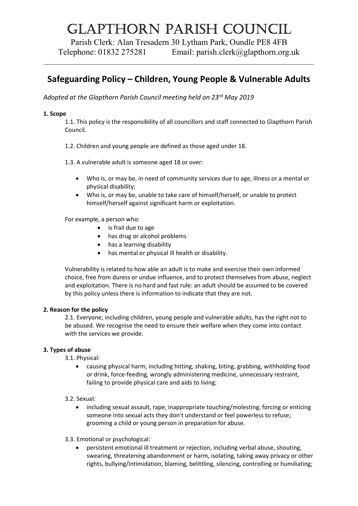# Glapthorn parish CounCil

Parish Clerk: Alan Tresadern 30 Lytham Park, Oundle PE8 4FB Telephone: 01832 275281 Email: parish.clerk@glapthorn.org.uk

 $\mathcal{L}_\mathcal{L} = \mathcal{L}_\mathcal{L} = \mathcal{L}_\mathcal{L} = \mathcal{L}_\mathcal{L} = \mathcal{L}_\mathcal{L} = \mathcal{L}_\mathcal{L} = \mathcal{L}_\mathcal{L} = \mathcal{L}_\mathcal{L} = \mathcal{L}_\mathcal{L} = \mathcal{L}_\mathcal{L} = \mathcal{L}_\mathcal{L} = \mathcal{L}_\mathcal{L} = \mathcal{L}_\mathcal{L} = \mathcal{L}_\mathcal{L} = \mathcal{L}_\mathcal{L} = \mathcal{L}_\mathcal{L} = \mathcal{L}_\mathcal{L}$ 

# Safeguarding Policy – Children, Young People & Vulnerable Adults

Adopted at the Glapthorn Parish Council meeting held on 23rd May 2019

## 1. Scope

1.1. This policy is the responsibility of all councillors and staff connected to Glapthorn Parish Council.

- 1.2. Children and young people are defined as those aged under 18.
- 1.3. A vulnerable adult is someone aged 18 or over:
	- Who is, or may be, in need of community services due to age, illness or a mental or physical disability;
	- Who is, or may be, unable to take care of himself/herself, or unable to protect himself/herself against significant harm or exploitation.

For example, a person who:

- is frail due to age
- has drug or alcohol problems
- has a learning disability
- has mental or physical ill health or disability.

Vulnerability is related to how able an adult is to make and exercise their own informed choice, free from duress or undue influence, and to protect themselves from abuse, neglect and exploitation. There is no hard and fast rule: an adult should be assumed to be covered by this policy unless there is information to indicate that they are not.

#### 2. Reason for the policy

2.1. Everyone, including children, young people and vulnerable adults, has the right not to be abused. We recognise the need to ensure their welfare when they come into contact with the services we provide.

# 3. Types of abuse

3.1. Physical:

- causing physical harm, including hitting, shaking, biting, grabbing, withholding food or drink, force-feeding, wrongly administering medicine, unnecessary restraint, failing to provide physical care and aids to living;
- 3.2. Sexual:
	- including sexual assault, rape, inappropriate touching/molesting, forcing or enticing someone into sexual acts they don't understand or feel powerless to refuse; grooming a child or young person in preparation for abuse.
- 3.3. Emotional or psychological:
	- persistent emotional ill treatment or rejection, including verbal abuse, shouting, swearing, threatening abandonment or harm, isolating, taking away privacy or other rights, bullying/intimidation, blaming, belittling, silencing, controlling or humiliating;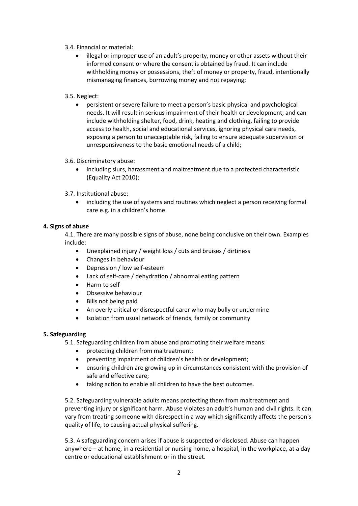- 3.4. Financial or material:
	- illegal or improper use of an adult's property, money or other assets without their informed consent or where the consent is obtained by fraud. It can include withholding money or possessions, theft of money or property, fraud, intentionally mismanaging finances, borrowing money and not repaying;
- 3.5. Neglect:
	- persistent or severe failure to meet a person's basic physical and psychological needs. It will result in serious impairment of their health or development, and can include withholding shelter, food, drink, heating and clothing, failing to provide access to health, social and educational services, ignoring physical care needs, exposing a person to unacceptable risk, failing to ensure adequate supervision or unresponsiveness to the basic emotional needs of a child;
- 3.6. Discriminatory abuse:
	- including slurs, harassment and maltreatment due to a protected characteristic (Equality Act 2010);
- 3.7. Institutional abuse:
	- including the use of systems and routines which neglect a person receiving formal care e.g. in a children's home.

## 4. Signs of abuse

4.1. There are many possible signs of abuse, none being conclusive on their own. Examples include:

- Unexplained injury / weight loss / cuts and bruises / dirtiness
- Changes in behaviour
- Depression / low self-esteem
- Lack of self-care / dehydration / abnormal eating pattern
- Harm to self
- Obsessive behaviour
- Bills not being paid
- An overly critical or disrespectful carer who may bully or undermine
- Isolation from usual network of friends, family or community

#### 5. Safeguarding

5.1. Safeguarding children from abuse and promoting their welfare means:

- protecting children from maltreatment;
- preventing impairment of children's health or development;
- ensuring children are growing up in circumstances consistent with the provision of safe and effective care;
- taking action to enable all children to have the best outcomes.

5.2. Safeguarding vulnerable adults means protecting them from maltreatment and preventing injury or significant harm. Abuse violates an adult's human and civil rights. It can vary from treating someone with disrespect in a way which significantly affects the person's quality of life, to causing actual physical suffering.

5.3. A safeguarding concern arises if abuse is suspected or disclosed. Abuse can happen anywhere – at home, in a residential or nursing home, a hospital, in the workplace, at a day centre or educational establishment or in the street.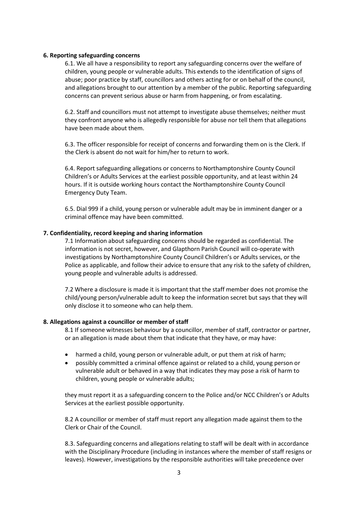#### 6. Reporting safeguarding concerns

6.1. We all have a responsibility to report any safeguarding concerns over the welfare of children, young people or vulnerable adults. This extends to the identification of signs of abuse; poor practice by staff, councillors and others acting for or on behalf of the council, and allegations brought to our attention by a member of the public. Reporting safeguarding concerns can prevent serious abuse or harm from happening, or from escalating.

6.2. Staff and councillors must not attempt to investigate abuse themselves; neither must they confront anyone who is allegedly responsible for abuse nor tell them that allegations have been made about them.

6.3. The officer responsible for receipt of concerns and forwarding them on is the Clerk. If the Clerk is absent do not wait for him/her to return to work.

6.4. Report safeguarding allegations or concerns to Northamptonshire County Council Children's or Adults Services at the earliest possible opportunity, and at least within 24 hours. If it is outside working hours contact the Northamptonshire County Council Emergency Duty Team.

6.5. Dial 999 if a child, young person or vulnerable adult may be in imminent danger or a criminal offence may have been committed.

#### 7. Confidentiality, record keeping and sharing information

7.1 Information about safeguarding concerns should be regarded as confidential. The information is not secret, however, and Glapthorn Parish Council will co-operate with investigations by Northamptonshire County Council Children's or Adults services, or the Police as applicable, and follow their advice to ensure that any risk to the safety of children, young people and vulnerable adults is addressed.

7.2 Where a disclosure is made it is important that the staff member does not promise the child/young person/vulnerable adult to keep the information secret but says that they will only disclose it to someone who can help them.

#### 8. Allegations against a councillor or member of staff

8.1 If someone witnesses behaviour by a councillor, member of staff, contractor or partner, or an allegation is made about them that indicate that they have, or may have:

- harmed a child, young person or vulnerable adult, or put them at risk of harm;
- possibly committed a criminal offence against or related to a child, young person or vulnerable adult or behaved in a way that indicates they may pose a risk of harm to children, young people or vulnerable adults;

they must report it as a safeguarding concern to the Police and/or NCC Children's or Adults Services at the earliest possible opportunity.

8.2 A councillor or member of staff must report any allegation made against them to the Clerk or Chair of the Council.

8.3. Safeguarding concerns and allegations relating to staff will be dealt with in accordance with the Disciplinary Procedure (including in instances where the member of staff resigns or leaves). However, investigations by the responsible authorities will take precedence over